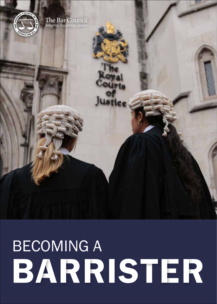# BECOMING A<br>BARRISTER

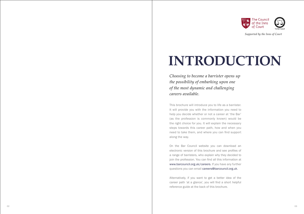

*Supported by the Inns of Court*

### **INTRODUCTION**

*Choosing to become a barrister opens up the possibility of embarking upon one of the most dynamic and challenging careers available.*

This brochure will introduce you to life as a barrister. It will provide you with the information you need to help you decide whether or not a career at 'the Bar' (as the profession is commonly known) would be the right choice for you. It will explain the necessary steps towards this career path, how and when you need to take them, and where you can find support along the way.

On the Bar Council website you can download an electronic version of this brochure and see profiles of a range of barristers, who explain why they decided to join the profession. You can find all this information at www.barcouncil.org.uk/careers. If you have any further questions you can email careers@barcouncil.org.uk .

Alternatively, if you want to get a better idea of the career path 'at a glance', you will find a short helpful reference guide at the back of this brochure.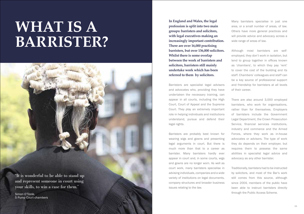# **WHAT IS A BARRISTER?**

05 06 06 06 06 06 06 06 06 06 06 06 07 07 08 07 08 07 08 07 08 07 08 07 08 07 08 07 08 07 08 07 08 07 08 07 08 0 "It is wonderful to be able to stand up and represent someone in court using your skills, to win a case for them." Simon O'Toole, 5 Pump Court chambers

**In England and Wales, the legal profession is split into two main groups: barristers and solicitors, with legal executives making an increasingly important contribution. There are over 16,000 practising barristers, but over 136,000 solicitors. Whilst there is some overlap between the work of barristers and solicitors, barristers still mainly undertake work which has been referred to them by solicitors.**

Barristers are specialist legal advisers and advocates who, providing they have undertaken the necessary training, can appear in all courts, including the High Court, Court of Appeal and the Supreme Court. They play an extremely important role in helping individuals and institutions understand, pursue and defend their legal rights.

Barristers are probably best known for wearing wigs and gowns and presenting legal arguments in court. But there is much more than that to a career as barrister. Many barristers hardly ever appear in court and, in some courts, wigs and gowns are no longer worn. As well as court work, many barristers specialise in advising individuals, companies and a wide variety of institutions on legal documents, company structures and broader business issues relating to the law.

Many barristers specialise in just one area, or a small number of areas, of law. Others have more general practices and will provide advice and advocacy across a wide range of areas of law.

Although most barristers are selfemployed, they don't work in isolation, but tend to group together in offices known as 'chambers', to which they pay 'rent' to cover the cost of the building and its staff. Chambers' colleagues and staff can be a key source of professional support and friendship for barristers at all levels of their career.

There are also around 3,000 employed barristers, who work for organisations, rather than for themselves. Employers of barristers include the Government Legal Department, the Crown Prosecution Service, financial services institutions, industry and commerce and the Armed Forces, where they work as in-house advocates or advisers. The type of work they do depends on their employer, but requires them to possess the same abilities in specialist legal advice and advocacy as any other barrister.

Traditionally, barristers had to be instructed by solicitors, and most of the Bar's work still comes from this source, although since 2004, members of the public have been able to instruct barristers directly through the Public Access Scheme.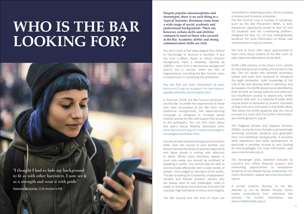# **WHO IS THE BAR LOOKING FOR?**

"I thought I had to hide my background to fit in with other barristers. I now see it as a strength and wear it with pride."

Natasha Shotunde, 5 St Andrew's Hill

**Despite popular misconceptions and stereotypes, there is no such thing as a 'typical' barrister. Barristers come from a wide range of social, academic and professional backgrounds. There are, however, certain skills and abilities common to most of those who succeed at the Bar. Academic ability and strong communication skills are vital.**

You don't need a first class degree from Oxford or Cambridge to become a barrister. If you are from a Black, Asian, or ethnic minority background, have a disability, identify as LGBTQ+, come from a low-income background and/or are a woman, there are lots of organisations, including the Bar Council, keen to support you in accessing the profession.

You can find out more information at www. barcouncil.org.uk/support-for-barristers/ equality-diversity-and-inclusion.html.

In Summer 2018, the Bar Council launched 'I am the Bar' to profile the experiences of those who have succeeded at the Bar from nontraditional backgrounds. The award-winning campaign is designed to increase social mobility across the Bar and support fair access to the profession. You can find more about this year's Social Mobility Advocates here: www.barcouncil.org.uk/media-campaigns/ campaigns/iamthebar.html.

You should also possess strong communication skills. Over the course of your studies, you should develop the ability to express arguments and ideas clearly in writing, with attention to detail. Whilst many barristers appear in court only rarely, you should be confident at speaking in public. You should also be able to communicate effectively with a wide variety of people - from judges to members of the public. The Bar is looking for trustworthy, independentminded and flexible problem solvers who are always open to new challenges, ready to adapt to changing circumstances and who will maintain high standards of ethics and integrity.

The Bar Council and the Inns of Court are

committed to widening access, and to creating a diverse and inclusive profession.

The Bar Council runs a number of initiatives, such as the Bar Placement Week, a work experience opportunity aimed at Year 12 and 13 students and the e-mentoring platform, designed for Year 12, 13 and undergraduate students. For more information on these, visit www.barcouncil.org.uk/careers.

The Inns of Court offer many opportunities to learn more about careers at the Bar, such as open days and attendance at law fairs.

Griffin LAW scheme is the Gray's Inn's vehicle for promoting social mobility and access to the Bar. The Inn works with selected secondary school and sixth form students to introduce the legal profession, build knowledge of the rule of law and develop skills in advocacy and persuasion. Our Griffin students are identified by their schools as having aptitude and potential, but insufficient access to opportunity. Griffin students take part in a bespoke 8 week skills course which is delivered by student members of Gray's Inn and culminates in the Griffin Mock Trial where the Griffin students play the role of counsel in a mock trial. For further information, see wwww.graysinn.org.uk.

The Pegasus Access and Support Scheme (PASS), run by the Inner Temple, is aimed at high achieving university students and graduates from non-traditional backgrounds. It provides work experience and skills development. In particular it provides access to and funding for mini-pupillages. For more information, visit www.innertemple.org.uk.

The Neuberger prize, awarded annually by Lincoln's Inn, offers financial support and networking opportunities to exceptional students at non-Russel Group universities. For more information, please see www.lincolnsinn. org.uk.

A similar scheme (Access to the Bar Awards) is run by Middle Temple, which invites nominations from individual law schools. For further information, see www.middletemple.org.uk.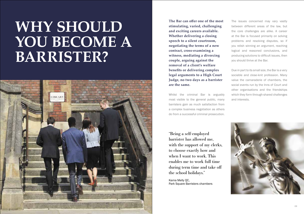# **WHY SHOULD YOU BECOME A BARRISTER?**



**The Bar can offer one of the most stimulating, varied, challenging and exciting careers available. Whether delivering a closing speech to a silent courtroom, negotiating the terms of a new contract, cross-examining a witness, mediating a divorcing couple, arguing against the removal of a client's welfare benefits or delivering complex legal arguments to a High Court Judge, no two days as a barrister are the same.**

Whilst the criminal Bar is arguably most visible to the general public, many barristers gain as much satisfaction from a complex business negotiation as others do from a successful criminal prosecution.

"Being a self-employed barrister has allowed me, with the support of my clerks, to choose exactly how and when I want to work. This enables me to work full time during term time and take off the school holidays."

Kama Melly QC, Park Square Barristers chambers The issues concerned may vary vastly between different areas of the law, but the core challenges are alike. A career at the Bar is focused primarily on solving problems and resolving disputes, so if you relish winning an argument, reaching logical and reasoned conclusions, and producing solutions to difficult issues, then you should thrive at the Bar.

Due in part to its small size, the Bar is a very sociable and close-knit profession. Many value the camaraderie of chambers, the social events run by the Inns of Court and other organisations and the friendships which they form through shared challenges and interests.

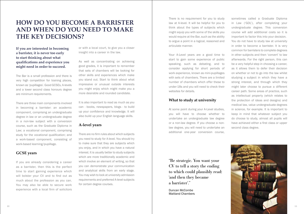### **HOW DO YOU BECOME A BARRISTER AND WHEN DO YOU NEED TO MAKE THE KEY DECISIONS?**

**If you are interested in becoming a barrister, it is never too early to start thinking about what qualifications and experience you might need in order to succeed.** 

The Bar is a small profession and there is very high competition for training places, known as 'pupillages'. Good GCSEs, A-levels and a lower second class honours degree are minimum requirements.

There are three main components involved in becoming a barrister: an academic component, comprising an undergraduate degree in law or an undergraduate degree in a non-law subject with a conversion course, such as the Graduate Diploma in Law; a vocational component, comprising study for the vocational qualification; and a work-based component, consisting of work-based learning/pupillage.

#### **GCSE years**

If you are already considering a career as a barrister, then this is the perfect time to start gaining experience which will bolster your CV and to find out as much about the profession as you can. You may also be able to secure work experience with a local firm of solicitors or with a local court, to give you a closer insight into a career in the law.

As well as concentrating on achieving good grades, it is important to remember that sets of chambers will be looking for other skills and experiences which make you stand out. Start to think about what impressive or unusual outside interests you might enjoy which might make you a more desirable and rounded candidate.

It is also important to read as much as you can - books, newspapers, blogs - to build up your confidence and knowledge. It will also build up your English language skills.

#### **A-level years**

There are no firm rules about which subjects you need to study for A-level. You should try to make sure that they are subjects which you enjoy, and in which you have a natural interest. It is usually better to study subjects which are more traditionally academic and which involve an element of writing, so that you can demonstrate your communication and analytical skills from an early stage. You may wish to look at university admission requirements and preferred A-level subjects for certain degree courses.

There is no requirement for you to study law at A-level. It will be helpful for you to think about the types of subjects which might equip you with some of the skills you would require at the Bar, such as the ability to argue a point in a logical, reasoned and articulate manner.

Your A-Level years are a good time to start to gain some experience of public speaking, such as debating, and to consider applying for short periods of work experience, known as mini-pupillages with sets of chambers. There are a limited number of chambers which offer these to under-18s and you will need to check their websites for details.

#### **What to study at university**

At some point during your A-Level studies, you will have to choose whether to undertake an undergraduate law degree or a non-law degree. If you choose a nonlaw degree, you will need to undertake an additional one-year conversion course,

sometimes called a Graduate Diploma in Law ('GDL'), after completing your undergraduate degree. This conversion course will add additional costs so it is important to factor this into your decision. You do not have to study law at university in order to become a barrister. It is very common for barristers to complete degrees in other subjects and then 'convert' to law afterwards. For the right person, this can be a very helpful step in choosing a career, as it allows them to defer their decision on whether or not to go into the law whilst studying a subject in which they have a strong interest, and through which they might later choose to pursue a different career path. Some areas of practice, such as intellectual property (which relates to the protection of ideas and designs) and medical law, value undergraduate degrees in science, for example. It is important to keep in mind that whatever subject you do choose to study, almost all pupils will have achieved either a first class or upper second class degree.

"Be strategic. You want your CV to tell a story the ending to which could plausibly read: 'and then they became a barrister'."

Duncan McCombe Maitland Chambers

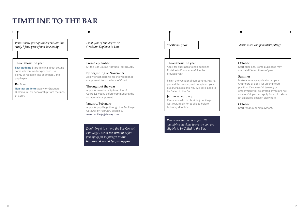### **TIMELINE TO THE BAR**

*Penultimate year of undergraduate law study / final year of non-law study*

#### Throughout the year

Law students Start thinking about getting some relevant work experience. Do plenty of research into chambers / minipupillages.

#### By May

Non-law students Apply for Graduate Diploma in Law scholarship from the Inns of Court.

#### *Final year of law degree or Graduate Diploma in Law*

#### Sit the Bar Course Aptitude Test (BCAT). From September

Apply for scholarship for the vocational component from the Inns of Court. By beginning of November

#### Apply for membership to an Inn of Court 12 weeks before commencing the vocational component. Throughout the year

Apply for pupillage through the Pupillage Gateway by February deadline. www.pupillagegateway.com January/February

*Don't forget to attend the Bar Council Pupillage Fair in the autumn before you apply for pupillage: www. barcouncil.org.uk/pupillagefair.*

#### Throughout the year

Apply for pupillages to non-pupillage Portal sets if unsuccessful in the previous year.

Finish the vocational component. Having passed the course, and completed your qualifying sessions, you will be eligible to be Called to the Bar.

#### If unsuccessful in obtaining pupillage last year, apply for pupillage before February deadline. January/February

*Remember to complete your 10 qualifying sessions to ensure you are eligible to be Called to the Bar.*

*Vocational year Work-based component/Pupillage*

#### October

Start pupillage. Some pupillages may start at different times of year.

#### Summer

Make a tenancy application at your Chambers or apply for an employed position. If successful, tenancy or employment will be offered. If you are not successful, you can apply for a third six or an employed position elsewhere.

#### October

Start tenancy or employment.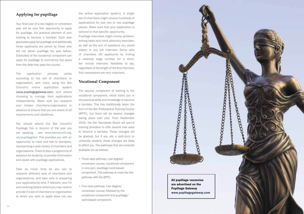#### **Applying for pupillage**

Your final year of a law degree or conversion year will be your first opportunity to apply for pupillage, the practical element of your training to become a barrister. Each year graduates apply for pupillage and additionally those applicants are joined by those who did not obtain pupillage the year before. Graduates of the vocational component can apply for pupillage to commence five years from the date they pass the course.

The application process varies according to the set of chambers or organisation, with many using the Bar Council's online application system (www.pupillagegateway.com) and others choosing to manage their applications independently. Make sure you research your chosen chambers/organisation in advance to ensure that you are aware of all requirements and deadlines.

You should attend the Bar Council's Pupillage Fair in Autumn of the year you are applying - see www.barcouncil.org. uk/pupillagefair. This provides you with an opportunity to meet and talk to barristers, representing a wide variety of chambers and organisations. There is also a programme of sessions for students, to provide information and assist with pupillage applications.

Take as much time as you can to research different sets of chambers and organisations, and take care in preparing your application(s) and, if relevant, your CV and covering letters (which you may need to provide if a set of chambers or organisation to which you wish to apply does not use

the online application system). A single set of chambers might receive hundreds of applications for just one or two pupillage places. Make sure that your application is tailored to that specific opportunity.

Pupillage interviews might involve problemsolving tasks and mock advocacy exercises, as well as the sort of questions you would expect in any job interview. Some sets of chambers sift applicants by inviting a relatively large number for a short, ten minute interview. Needless to say, regardless of the length of the first interview, first impressions are very important.

#### **Vocational Component**

The second component of training is the vocational component, which trains you in the practical skills and knowledge to become a barrister. This has traditionally taken the form of the Bar Professional Training Course (BPTC), but there will be several changes taking place next year. From September 2020, the Bar Standards Board will permit training providers to offer several new ways to become a barrister. These changes will be gradual, but if you are a sixth-form or university student, these changes are likely to affect you. The pathways that are currently available are as follows:

- Three-step pathway: Law degree/ conversion course, vocational component in one part, pupillage/work-based component. This pathway is most like the pathway with the BPTC.
- Four-step pathway: Law degree/ conversion course, followed by the vocational component and pupillage/ work-based component.

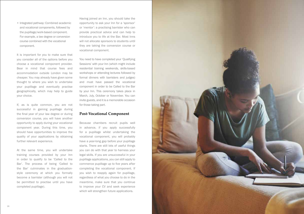and vocational components, followed by the pupillage/work-based component. For example, a law degree or conversion course combined with the vocational component.

It is important for you to make sure that you consider all of the options before you choose a vocational component provider. Bear in mind that course fees and accommodation outside London may be cheaper. You may already have given some thought to where you wish to undertake your pupillage and eventually practise geographically, which may help to guide your choice.

If, as is quite common, you are not successful in gaining pupillage during the final year of your law degree or during conversion course, you will have another opportunity to apply during your vocational component year. During this time, you should have opportunities to improve the quality of your applications by obtaining further relevant experience.

At the same time, you will undertake training courses provided by your Inn in order to qualify to be 'Called to the Bar'. The process of being 'Called to the Bar' culminates in the graduationstyle ceremony at which you formally become a barrister (although you will not be permitted to practise until you have completed pupillage).

Having joined an Inn, you should take the opportunity to ask your Inn for a 'sponsor' or 'mentor': a practising barrister who can provide practical advice and can help to introduce you to life at the Bar. Most Inns will not allocate sponsors to students until they are taking the conversion course or vocational component.

You need to have completed your 'Qualifying Sessions' with your Inn (which might include residential training weekends, skills-based workshops or attending lectures followed by formal dinners with barristers and judges) and must have passed the vocational component in order to be Called to the Bar by your Inn. This ceremony takes place in March, July, October or November. You can invite guests, and it is a memorable occasion for those taking part.

#### **Post-Vocational Component**

Because chambers recruit pupils well in advance, if you apply successfully for a pupillage whilst undertaking the vocational component, you will probably have a year-long gap before your pupillage starts. There are still lots of useful things you can do with that year to harness your legal skills. If you are unsuccessful in your pupillage applications, you can still apply to commence pupillage up to five years after completing the vocational component. If you wish to reapply again for pupillage, regardless of what you choose to do in the meantime, make sure that you continue to improve your CV and seek experience which will strengthen future applications.

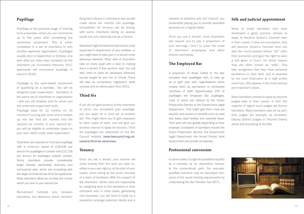#### **Pupillage**

Pupillage is the practical stage of training to be a barrister, which you can commence up to five years after completing the vocational component. This is either completed in a set of chambers or with another approved organisation. Pupillages usually start in September or October, one year after you have been accepted by the chambers (so successful February 2017 applicants will commence pupillage in autumn 2018).

Pupillage is the work-based component of qualifying as a barrister.. You will be assigned pupil supervisors - barristers in the same set of chambers or organisation - who you will shadow, and for whom you will undertake supervised work.

Pupillage lasts for 12 months (or 24 months if running part time) and is broken up into the 'first six' months and the 'second six' months. In your 'second six', you will be eligible to undertake cases on your own, albeit under close supervision.

Chambers are required to fund your pupillage with a minimum award of £18,436 per annum for pupillages in London and £15,728 per annum for pupillages outside London. Some chambers provide considerably larger awards; particularly chancery and commercial sets, which are competing with the large commercial law firms for applicants. Most chambers allow you to keep the money which you earn in your second six.

Recruitment methods vary between chambers, but decisions about 'tenancy'

(long-term places in chambers) are usually made about ten months into pupillage. Competition for tenancy can be strong, with some chambers taking on several pupils but only retaining one as a tenant.

Appraisal might be based simply on your pupil supervisor's assessment of your abilities, or you might have to take part in a formal mock advocacy exercise. Other sets of chambers take on every pupil with a view to making them a tenant if they perform well. You will also need to pass an assessed advocacy course taught by your Inn or Circuit. There will also be compulsory negotiation skills courses and an ethics exam from 2021.

#### **Third Six**

If you do not gain tenancy at the chambers at which you completed your pupillage, you can apply for a 'third six' at another set. This might allow you to gain exposure to other types of work, and will give you another chance to apply for tenancy. Third Six pupillages are advertised on the Bar Council website (www.barcouncil.org.uk/ careers/third-six-vacancies) .

#### **Tenancy**

Once you are a tenant, your income will come entirely from the work you take on, either in your own right or, at the start of your career, when acting as the junior member of a team of barristers. With the support of the chambers' 'clerks' (who are responsible for assigning work to the barristers in their chambers and, in many cases, generating new business), you will need to build up a reputation amongst potential clients and a network of solicitors who will 'instruct' you (essentially paying you to provide specialist services) on a regular basis.

Once you are a tenant, most chambers will require you to pay a proportion of your earnings ('rent') to cover the costs of chambers' employees and other shared overheads.

#### **The Employed Bar**

A proportion of those Called to the Bar complete their pupillages with, or later go on to gain jobs with, organisations which employ them as permanent or contracted members of staff. Approximately 10% of pupillages are employed Bar pupillages, most of which are offered by the Crown Prosecution Service or the Government Legal Department. This might give them more job security and access to benefits such as paid sick leave, paid holiday and parental leave. Their work will vary greatly depending on their employer. Employers of barristers include the Crown Prosecution Service, the Government Legal Department, the Armed Forces, local Government and private companies.

#### **Professional conversion**

In some cases, it might be possible to qualify as a barrister by an alternative manner to the conventional path. For example, qualified solicitors may be exempted from some of the usual training requirements by undertaking the Bar Transfer Test (BTT).

#### **Silk and judicial appointment**

Many of those barristers who have developed a good practice choose to apply to become Queen's Counsel later in their career. If they are successful, they will become Queen's Counsel (and can add the much-coveted letters "QC" after their surname) and gain the right to wear a silk gown in Court, for which reason they are often known as "silks". This title recognises that they have achieved excellence in their field, and is awarded by the Lord Chancellor at a high profile ceremony. QCs appear in the most serious and important cases.

Many barristers choose to apply to become judges later in their career; in fact, the majority of higher court judges are former barristers. Many barristers also sit as parttime judges (for example, as recorders, Deputy District Judges or Tribunal Chairs) whilst still practising at the Bar.

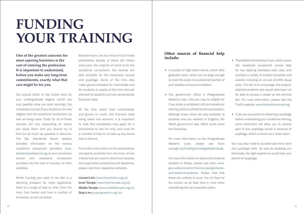### **FUNDING YOUR TRAINING**

**One of the greatest concerns for most aspiring barristers is the cost of entering the profession. It is important to understand, before you make any long-term commitments, exactly what that cost might be for you.** 

You should factor in the tuition fees for your undergraduate degree (which are only payable once you start earning), the conversion course (if you studied a non-law degree) and the vocational component, as well as living costs. Costs for all of those courses will vary depending on where you study them and you should try to find out as much as possible in advance. The Bar Standards Board website provides information on the various vocational component providers www. barstandardsboard.org.uk and conversion course and vocational component providers list the cost of courses on their websites.

Whilst funding your path to the Bar is a daunting prospect for many applicants, there is a range of help on offer, from the Inns, from banks and from a number of bursaries, as set out below.

Between them, the four Inns of Court make scholarship awards of about £6 million every year, the majority of which is for the vocational component, but awards are also available for the conversion course and pupillage. Some of the Inns also make grants available for internships and for students or pupils of the Inns who are affected by disability and can demonstrate financial need.

All the Inns award their scholarships and grants on merit, with financial need being taken into account. It is important to note that candidates may apply for a scholarship to one Inn only, and must be a member of that Inn to take up any award that is offered.

For further information on the scholarships and grants available from the Inns, on the criteria that are used to determine awards, and application procedures and deadlines, please visit their respective websites.

Lincoln's Inn (www.lincolnsinn.org.uk) Inner Temple (www.innertemple.org.uk) Middle Temple (www.middletemple.org.uk) Gray's Inn (www.graysinn.org.uk)

#### **Other sources of financial help include:**

- A number of high street banks, which offer graduate loans, which can be large enough to cover the costs of a substantial portion of your studies and accommodation.
- The government offers a Postgraduate Master's Loan, that you may be eligible for if you study a combined LLM and vocational training (which is offered by some providers). Although these loans are only available to students who are resident in England, the Welsh government also offers some loans and bursaries.

For more information on the Postgraduate Master's Loan, please see here: www.gov.uk/funding-for-postgraduate-study.

For more information on options for students resident in Wales, please see here: www. gov.wales/student-finance/postgraduateand-doctoral-students. Please note that these are unlikely to cover the full fees for the course, so do bear that in mind when considering this as a possible option.

- The Kalisher Scholarship Trust, which covers the vocational component course fees for two aspiring barristers each year, and provides a variety of smaller bursaries and awards including an annual £3,000 essay prize. The aim is to encourage and support talented students who would otherwise not be able to pursue a career at the criminal Bar. For more information, please visit the Trust's website: www.thekalishertrust.org.
- If you are successful in obtaining a pupillage before undertaking your vocational training, some chambers will allow you to receive part of your pupillage award in advance of pupillage, which is known as a 'draw down'.

You may also need to consider part-time work and paralegal work. As well as assisting you financially, the right experience could help your search for pupillage.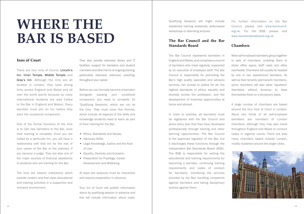### **WHERE THE BAR IS BASED**

#### **Inns of Court**

There are four Inns of Courts: Lincoln's Inn, Inner Temple, Middle Temple and Gray's Inn. Although the Inns are all located in London, they have strong links across England and Wales and all over the world (partly because so many international students are also Called to the Bar in England and Wales). Every barrister must join an Inn before they start the vocational component.

One of the formal functions of the Inns is to Call new barristers to the Bar, once their training is complete. Once you are Called by a particular Inn, you will have a relationship with that Inn for the rest of your career at the Bar or the judiciary, if you become a judge. They are also one of the major sources of financial assistance to students who are training for the Bar.

The Inns are historic institutions which provide modern and first class educational and training activities in a supportive and inclusive environment.

They also provide extensive library and IT facilities, support for barristers and student members and other forms of ongoing training, particularly extensive advocacy coaching, throughout your career.

Before you can formally become a barrister, alongside passing your vocational component, you need to complete 10 'Qualifying Sessions', which are run by the Inns. They must cover five themes, which include all aspects of the skills and knowledge students need to learn as part of their training for the Bar:

- Ethics, Standards and Values:
- Advocacy Skills;
- Legal Knowledge, Justice and the Rule of Law;
- Equality, Diversity and Inclusion:
- Preparation for Pupillage, Career Development and Wellbeing

At least two sessions must be interactive and require preparation in advance.

Your Inn of Court will publish information about its qualifying session in advance and this will include information about costs.

Qualifying Sessions will might include residential training weekends, skills-based workshops or attending lectures

#### **The Bar Council and the Bar Standards Board**

The Bar Council represents barristers in England and Wales, and comprises a council of barristers who meet regularly, supported by an executive of employed staff. The Bar Council is responsible for promoting the Bar's high quality specialist and advisory services, fair access to justice for all, the highest standards of ethics, equality and diversity across the profession, and the development of business opportunities at home and abroad.

In order to practise, all barristers must be registered with the Bar Council and prove every year that they have developed professionally through training and other learning opportunities. The Bar Council is the approved regulator of the Bar, but it discharges these functions through the independent Bar Standards Board (BSB). The BSB is responsible for setting the educational and training requirements for becoming a barrister, continuing training requirements and codes of conduct for barristers, monitoring the services provided by the Bar, handling complaints against barristers and taking disciplinary actions against them.

For further information on the Bar Council, please visit www.barcouncil. org.uk. For the BSB, please visit www.barstandardsboard.org.uk.

#### **Chambers**

Most self-employed barristers group together in sets of chambers, enabling them to share office space, staff costs and other overheads. Chambers will usually be headed by one or two experienced barristers. As well as their tenants (permanent members), some chambers will also allow 'squatters' (barristers without tenancy) to base themselves there on a temporary basis.

A large number of chambers are based around the four Inns of Court in London. About two thirds of all self-employed barristers are members of London chambers, although they may also travel throughout England and Wales to conduct cases in regional courts. There are also many chambers based outside London, mostly clustered around the larger cities.

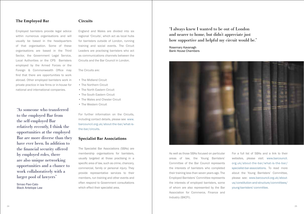#### **The Employed Bar**

Employed barristers provide legal advice within numerous organisations and will usually be based in the headquarters of that organisation. Some of these organisations are based in the Third Sector, the Government Legal Service, Local Authorities or the CPS Barristers employed by the Armed Forces or the Foreign & Commonwealth Office may find that there are opportunities to work abroad. Other employed barristers work in private practice in law firms or in-house for national and international companies.

"As someone who transferred to the employed Bar from the self-employed Bar relatively recently, I think the opportunities at the employed Bar are more diverse than they have ever been. In addition to the financial security offered by employed roles, there are also unique networking opportunities and a chance to work collaboratively with a larger pool of lawyers"

Simao Paxi-Cato Black Antelope Law

#### **Circuits**

England and Wales are divided into six regional 'Circuits', which act as local hubs for barristers outside of London, running training and social events. The Circuit Leaders are practising barristers who act as communications channels between the Circuits and the Bar Council in London.

The Circuits are:

- The Midland Circuit
- The Northern Circuit
- The North Eastern Circuit
- The South Eastern Circuit
- The Wales and Chester Circuit
- The Western Circuit

For further information on the Circuits, including contact details, please see www. barcouncil.org.uk/about-the-bar/what-isthe-bar/circuits.

#### **Specialist Bar Associations**

The Specialist Bar Associations (SBAs) are membership organisations for barristers, usually targeted at those practising in a specific area of law, such as crime, chancery, commercial, family or personal injury. They provide representative services to their members, run training and other events and often respond to Government consultations which effect their specialist area.

"I always knew I wanted to be out of London and nearer to home, but didn't appreciate just how supportive and helpful my circuit would be."

Rosemary Kavanagh Bank House Chambers



As well as those SBAs focused on particular areas of law, the Young Barristers' Committee of the Bar Council represents the interests of barristers who completed their training less than seven years ago. The Employed Barristers' Committee represents the interests of employed barristers, some of whom are also represented by the Bar Association for Commerce, Finance and Industry (BACFI).

For a full list of SBAs and a link to their websites, please visit: www.barcouncil. org.uk/about-the-bar/what-is-the-bar/ specialist-bar-associations. To read more about the Young Barristers' Committee, please see: www.barcouncil.org.uk/aboutus/constitution-and-structure/committees/ young-barristers'-committee.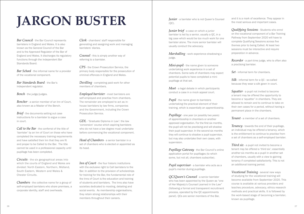# **JARGON BUSTER** *Junior* - a barrister who is not Queen's Counsel

*Bar Council* - the Bar Council represents barristers in England and Wales. It is also known as the General Council of the Bar and is the Approved Regulator of the Bar of England and Wales. It discharges its regulatory functions through the independent Bar Standards Board.

*Bar School* - the informal name for a provider of the vocational component.

*Bar Standards Board* - the Bar's independent regulator.

*Bench* - the judge/judges.

*Bencher* - a senior member of an Inn of Court, also known as a Master of the Bench.

*Brief* - the documents setting out case instructions for a barrister to argue a case in court.

*Call to the Bar* - the conferral of the title of 'barrister' by an Inn of Court on those who have completed the necessary training requirements and have satisfied their Inn that they are fit and proper to be Called to the Bar. The title cannot be used in a professional capacity until pupillage has been completed.

*Circuits* - the six geographical areas into which the courts of England and Wales are divided: North Eastern, Northern, Midland, South Eastern, Western and Wales & Chester Circuits.

*Chambers* - the collective name for a group of self-employed barristers who share premises, a corporate identity, staff and overheads.

*Clerk* - chambers' staff responsible for generating and assigning work and managing barristers' diaries.

*Counsel* - this is simply another way of referring to a barrister.

*CPS* - the Crown Prosecution Service, the primary body responsible for the prosecution of criminal offences in England and Wales.

*Devilling* - completing paid work for other members of chambers.

*Employed barrister* - most barristers are self-employed and practise from chambers. The remainder are employed to act as inhouse barristers by law firms, companies and the Government, including the Crown Prosecution Service.

*GDL* - 'Graduate Diploma in Law': the law 'conversion' course which aspiring barristers who do not have a law degree must undertake before commencing the vocational component.

*Head of Chambers* - a senior barrister in a set of chambers who is elected or appointed as its head.

*Inn of Court* - the four historic institutions with the exclusive right to Call barristers to the Bar. In addition to the provision of scholarships for training for the Bar, the fundamental role of the Inns of Court is the education and training of students and barristers. The Inns also have societies dedicated to mooting, debating and social events. As membership organisations, they retain strong relationships with their members throughout their careers.

 $(OC).$ 

*Junior brief* - a case on which a junior barrister is led by a senior, usually a QC, in a big case which would be too much work for one barrister alone. The more senior barrister will usually conduct the advocacy.

*Marshalling* - work experience shadowing a judge.

*Mini-pupil* - the name given to someone undertaking work experience in a set of chambers. Some sets of chambers may expect potential pupils to have completed a minipupillage at that set.

*Moot* - a legal debate in which participants conduct a case in a mock appeal court.

*Pupil* - the name given to barristers undertaking the practical element of their training, which is essentially an apprenticeship.

*Pupillage* - one year (or possibly two years) of apprenticeship in chambers or another approved organisation. For the first six months, the pupil will not be practising and will shadow their pupil supervisor. In the second six months they will continue to shadow a pupil supervisor, but may also undertake their own cases, with supervision.

*Pupillage Gateway* - the Bar Council's online application portal for pupillages (to which some, but not all, chambers subscribe).

*Pupil supervisor* - a barrister who acts as a pupil's mentor during pupillage.

*QC/Queen's Counsel* - a senior barrister who has been appointed by the Queen as "one of Her Majesty's Counsel Learned in the Law" (following a formal and transparent recruitment process, operated by the QC appointments panel). QCs are senior members of the Bar,

and it is a mark of excellence. They appear in the most serious and important cases.

*Qualifying Sessions* - Students who enrol on the vocational component of a Bar Training Pathway from September 2020 will have to complete Qualifying Sessions across five themes prior to being Called. At least two sessions must be interactive and require preparation in advance.

*Recorder* - a part-time judge, who is often also a practising barrister.

*Set* - informal term for chambers.

*Silk* - informal term for a QC - so-called because they wear a silk gown in court.

*Squatter* - a pupil not invited to become a tenant may be offered the opportunity to become a 'squatter' in chambers. They are allowed to remain and to continue to take on their own cases for a period, without having a permanent place in the chambers.

*Tenant* - a member of a set of chambers.

*Tenancy* - towards the end of their pupillage, an individual may be offered a tenancy, which is the entitlement to continue to practise from a set of chambers as a self-employed barrister.

*Third six* - a pupil not invited to become a tenant may be offered a 'third six'; essentially another six months as a pupil in another set of chambers, usually with a view to gaining tenancy if completed satisfactorily. This is not an additional training period.

*Vocational Training* - several new ways of studying for the vocational training will become available from September 2020. This course is available at various providers and teaches procedure, advocacy, ethics research methods and practical skills. It is followed by the work-based stage of becoming a barrister, known as pupillage.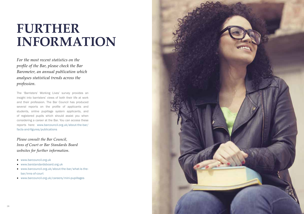### **FURTHER INFORMATION**

*For the most recent statistics on the profile of the Bar, please check the Bar Barometer, an annual publication which analyses statistical trends across the profession.* 

The 'Barristers' Working Lives' survey provides an insight into barristers' views of both their life at work and their profession. The Bar Council has produced several reports on the profile of applicants and students, online pupillage system applicants, and of registered pupils which should assist you when considering a career at the Bar. You can access these reports here: www.barcouncil.org.uk/about-the-bar/ facts-and-figures/publications

*Please consult the Bar Council, Inns of Court or Bar Standards Board websites for further information.*

- www.barcouncil.org.uk
- www.barstandardsboard.org.uk
- www.barcouncil.org.uk/about-the-bar/what-is-thebar/inns-of-court
- www.barcouncil.org.uk/careers/mini-pupillages

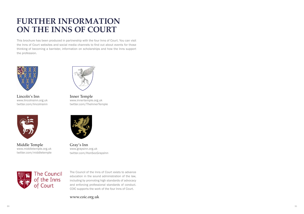### **FURTHER INFORMATION ON THE INNS OF COURT**

This brochure has been produced in partnership with the four Inns of Court. You can visit the Inns of Court websites and social media channels to find out about events for those thinking of becoming a barrister, information on scholarships and how the Inns support the profession.



Lincoln's Inn www.lincolnsinn.org.uk twitter.com/lincolnsinn



Middle Temple www.middletemple.org.uk twitter.com/middletemple



Inner Temple www.innertemple.org.uk twitter.com/TheInnerTemple



Gray's Inn www.graysinn.org.uk twitter.com/HonSocGraysInn



The Council of the Inns of Court exists to advance education in the sound administration of the law, including by promoting high standards of advocacy and enforcing professional standards of conduct. COIC supports the work of the four Inns of Court.

www.coic.org.uk